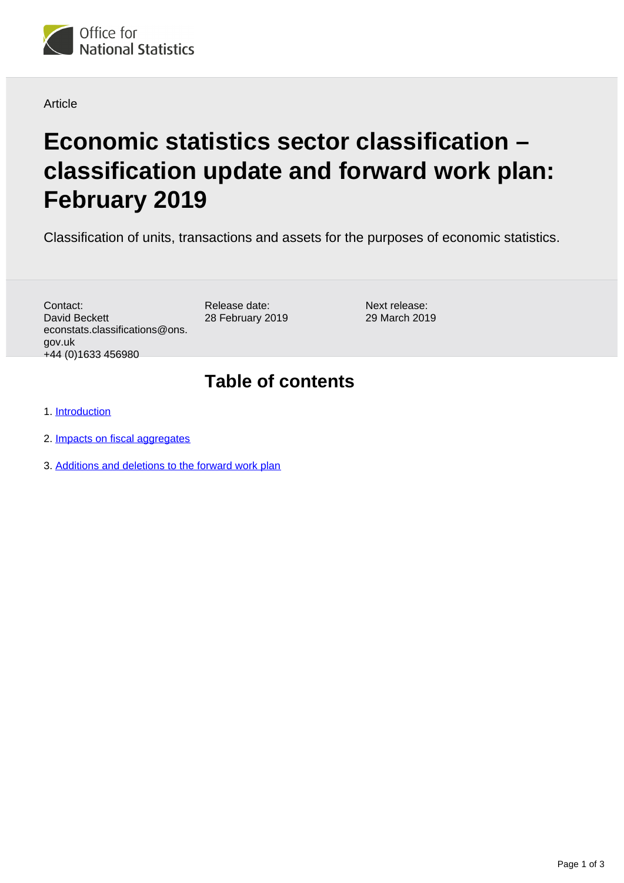

#### Article

# **Economic statistics sector classification – classification update and forward work plan: February 2019**

Classification of units, transactions and assets for the purposes of economic statistics.

Contact: David Beckett econstats.classifications@ons. gov.uk +44 (0)1633 456980

Release date: 28 February 2019 Next release: 29 March 2019

#### **Table of contents**

1. [Introduction](#page-1-0)

- 2. [Impacts on fiscal aggregates](#page-1-1)
- 3. [Additions and deletions to the forward work plan](#page-2-0)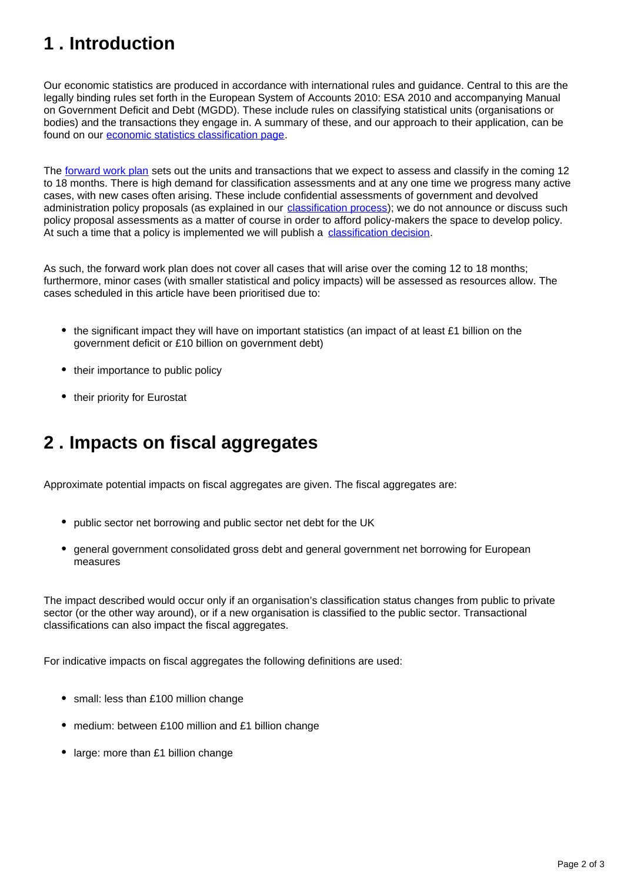## <span id="page-1-0"></span>**1 . Introduction**

Our economic statistics are produced in accordance with international rules and guidance. Central to this are the legally binding rules set forth in the European System of Accounts 2010: ESA 2010 and accompanying Manual on Government Deficit and Debt (MGDD). These include rules on classifying statistical units (organisations or bodies) and the transactions they engage in. A summary of these, and our approach to their application, can be found on our [economic statistics classification page.](https://www.ons.gov.uk/methodology/classificationsandstandards/economicstatisticsclassifications)

The [forward work plan](https://www.ons.gov.uk/file?uri=/methodology/classificationsandstandards/economicstatisticsclassifications/introductiontoeconomicstatisticsclassifications/feb2019fwp.xls) sets out the units and transactions that we expect to assess and classify in the coming 12 to 18 months. There is high demand for classification assessments and at any one time we progress many active cases, with new cases often arising. These include confidential assessments of government and devolved administration policy proposals (as explained in our *classification process*); we do not announce or discuss such policy proposal assessments as a matter of course in order to afford policy-makers the space to develop policy. At such a time that a policy is implemented we will publish a [classification decision](https://www.ons.gov.uk/methodology/classificationsandstandards/economicstatisticsclassifications/ukeconomicstatisticssectorandtransactionclassificationstheclassificationprocess).

As such, the forward work plan does not cover all cases that will arise over the coming 12 to 18 months; furthermore, minor cases (with smaller statistical and policy impacts) will be assessed as resources allow. The cases scheduled in this article have been prioritised due to:

- the significant impact they will have on important statistics (an impact of at least £1 billion on the government deficit or £10 billion on government debt)
- their importance to public policy
- their priority for Eurostat

### <span id="page-1-1"></span>**2 . Impacts on fiscal aggregates**

Approximate potential impacts on fiscal aggregates are given. The fiscal aggregates are:

- public sector net borrowing and public sector net debt for the UK
- general government consolidated gross debt and general government net borrowing for European measures

The impact described would occur only if an organisation's classification status changes from public to private sector (or the other way around), or if a new organisation is classified to the public sector. Transactional classifications can also impact the fiscal aggregates.

For indicative impacts on fiscal aggregates the following definitions are used:

- small: less than £100 million change
- medium: between £100 million and £1 billion change
- large: more than £1 billion change